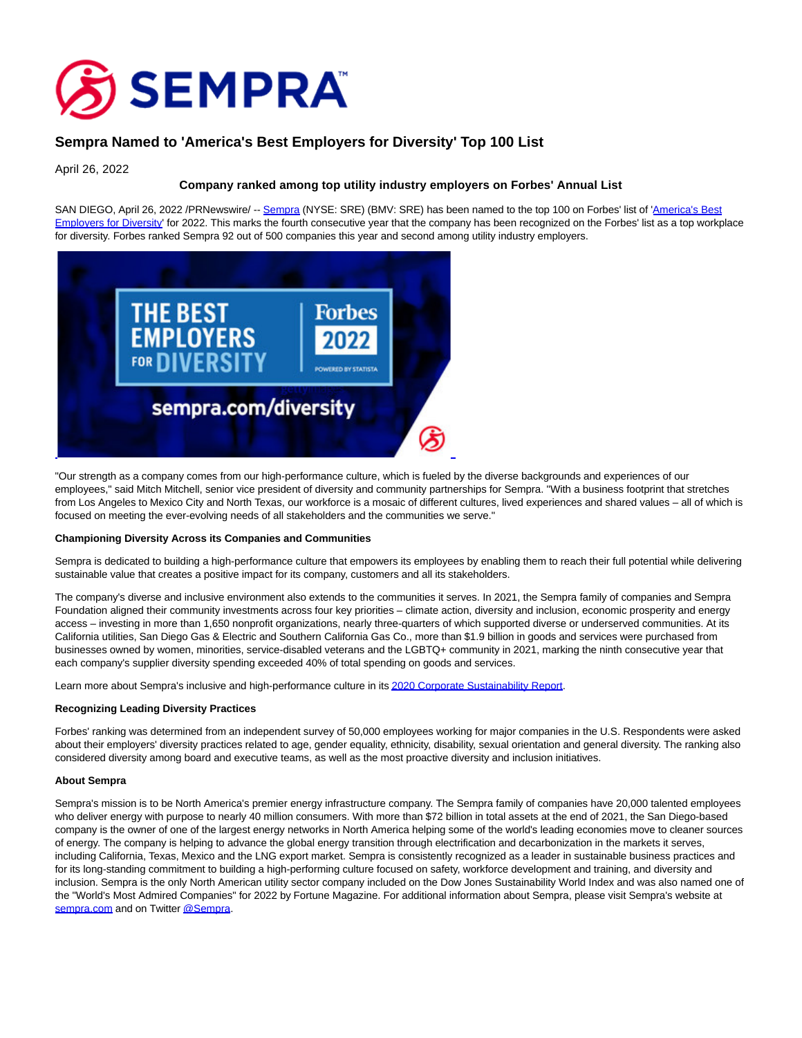

# **Sempra Named to 'America's Best Employers for Diversity' Top 100 List**

April 26, 2022

## **Company ranked among top utility industry employers on Forbes' Annual List**

SAN DIEGO, April 26, 2022 /PRNewswire/ -- [Sempra \(](https://c212.net/c/link/?t=0&l=en&o=3516967-1&h=3439220592&u=http%3A%2F%2Fwww.sempra.com%2F&a=Sempra)NYSE: SRE) (BMV: SRE) has been named to the top 100 on Forbes' list of ['America's Best](https://c212.net/c/link/?t=0&l=en&o=3516967-1&h=768587004&u=https%3A%2F%2Fwww.forbes.com%2Flists%2Fbest-employers-diversity%2F&a=America%27s+Best+Employers+for+Diversity) Employers for Diversity' for 2022. This marks the fourth consecutive year that the company has been recognized on the Forbes' list as a top workplace for diversity. Forbes ranked Sempra 92 out of 500 companies this year and second among utility industry employers.



"Our strength as a company comes from our high-performance culture, which is fueled by the diverse backgrounds and experiences of our employees," said Mitch Mitchell, senior vice president of diversity and community partnerships for Sempra. "With a business footprint that stretches from Los Angeles to Mexico City and North Texas, our workforce is a mosaic of different cultures, lived experiences and shared values – all of which is focused on meeting the ever-evolving needs of all stakeholders and the communities we serve."

### **Championing Diversity Across its Companies and Communities**

Sempra is dedicated to building a high-performance culture that empowers its employees by enabling them to reach their full potential while delivering sustainable value that creates a positive impact for its company, customers and all its stakeholders.

The company's diverse and inclusive environment also extends to the communities it serves. In 2021, the Sempra family of companies and Sempra Foundation aligned their community investments across four key priorities – climate action, diversity and inclusion, economic prosperity and energy access – investing in more than 1,650 nonprofit organizations, nearly three-quarters of which supported diverse or underserved communities. At its California utilities, San Diego Gas & Electric and Southern California Gas Co., more than \$1.9 billion in goods and services were purchased from businesses owned by women, minorities, service-disabled veterans and the LGBTQ+ community in 2021, marking the ninth consecutive year that each company's supplier diversity spending exceeded 40% of total spending on goods and services.

Learn more about Sempra's inclusive and high-performance culture in it[s 2020 Corporate Sustainability Report.](https://c212.net/c/link/?t=0&l=en&o=3516967-1&h=1522552634&u=https%3A%2F%2Fwww.sempra.com%2Fsempra-energy-releases-2020-corporate-sustainability-report&a=2020+Corporate+Sustainability+Report)

### **Recognizing Leading Diversity Practices**

Forbes' ranking was determined from an independent survey of 50,000 employees working for major companies in the U.S. Respondents were asked about their employers' diversity practices related to age, gender equality, ethnicity, disability, sexual orientation and general diversity. The ranking also considered diversity among board and executive teams, as well as the most proactive diversity and inclusion initiatives.

### **About Sempra**

Sempra's mission is to be North America's premier energy infrastructure company. The Sempra family of companies have 20,000 talented employees who deliver energy with purpose to nearly 40 million consumers. With more than \$72 billion in total assets at the end of 2021, the San Diego-based company is the owner of one of the largest energy networks in North America helping some of the world's leading economies move to cleaner sources of energy. The company is helping to advance the global energy transition through electrification and decarbonization in the markets it serves, including California, Texas, Mexico and the LNG export market. Sempra is consistently recognized as a leader in sustainable business practices and for its long-standing commitment to building a high-performing culture focused on safety, workforce development and training, and diversity and inclusion. Sempra is the only North American utility sector company included on the Dow Jones Sustainability World Index and was also named one of the "World's Most Admired Companies" for 2022 by Fortune Magazine. For additional information about Sempra, please visit Sempra's website at [sempra.com a](https://c212.net/c/link/?t=0&l=en&o=3516967-1&h=3569063168&u=http%3A%2F%2Fwww.sempra.com%2F&a=sempra.com)nd on Twitter [@Sempra.](https://c212.net/c/link/?t=0&l=en&o=3516967-1&h=3203577209&u=http%3A%2F%2Fwww.twitter.com%2Fsempra&a=%40Sempra)